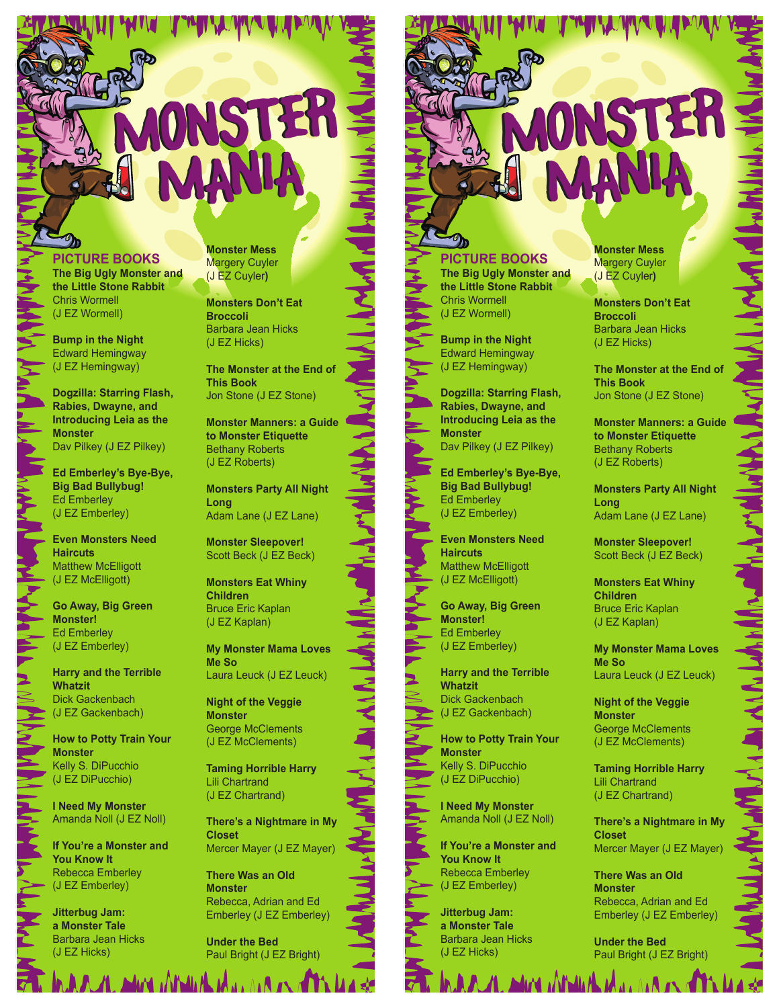## **MONSTER** MANIA MANIA

**PICTURE BOOKS The Big Ugly Monster and the Little Stone Rabbit** Chris Wormell (J EZ Wormell)

**Bump in the Night** Edward Hemingway (J EZ Hemingway)

**Dogzilla: Starring Flash, Rabies, Dwayne, and Introducing Leia as the Monster**  Dav Pilkey (J EZ Pilkey)

**Ed Emberley's Bye-Bye, Big Bad Bullybug!** Ed Emberley (J EZ Emberley)

**Even Monsters Need Haircuts** Matthew McElligott (J EZ McElligott)

**Go Away, Big Green Monster!** Ed Emberley (J EZ Emberley)

**Harry and the Terrible Whatzit** Dick Gackenbach (J EZ Gackenbach)

**How to Potty Train Your Monster** Kelly S. DiPucchio (J EZ DiPucchio)

**I Need My Monster** Amanda Noll (J EZ Noll)

**If You're a Monster and You Know It** Rebecca Emberley (J EZ Emberley)

**Jitterbug Jam: a Monster Tale** Barbara Jean Hicks (J EZ Hicks)

**FULLER ALL AND A STATE OF A SALE AND AN** 

**Monster Mess** Margery Cuyler (J EZ Cuyler**)**

**Monsters Don't Eat Broccoli**  Barbara Jean Hicks (J EZ Hicks)

**The Monster at the End of This Book**  Jon Stone (J EZ Stone)

**Monster Manners: a Guide to Monster Etiquette** Bethany Roberts (J EZ Roberts)

**Monsters Party All Night Long** Adam Lane (J EZ Lane)

**Monster Sleepover!** Scott Beck (J EZ Beck)

**Monsters Eat Whiny Children** Bruce Eric Kaplan (J EZ Kaplan)

**My Monster Mama Loves Me So** Laura Leuck (J EZ Leuck)

**Night of the Veggie Monster** George McClements (J EZ McClements)

**Taming Horrible Harry** Lili Chartrand (J EZ Chartrand)

**There's a Nightmare in My Closet**  Mercer Mayer (J EZ Mayer)

**There Was an Old Monster**  Rebecca, Adrian and Ed Emberley (J EZ Emberley)

**Under the Bed** Paul Bright (J EZ Bright)